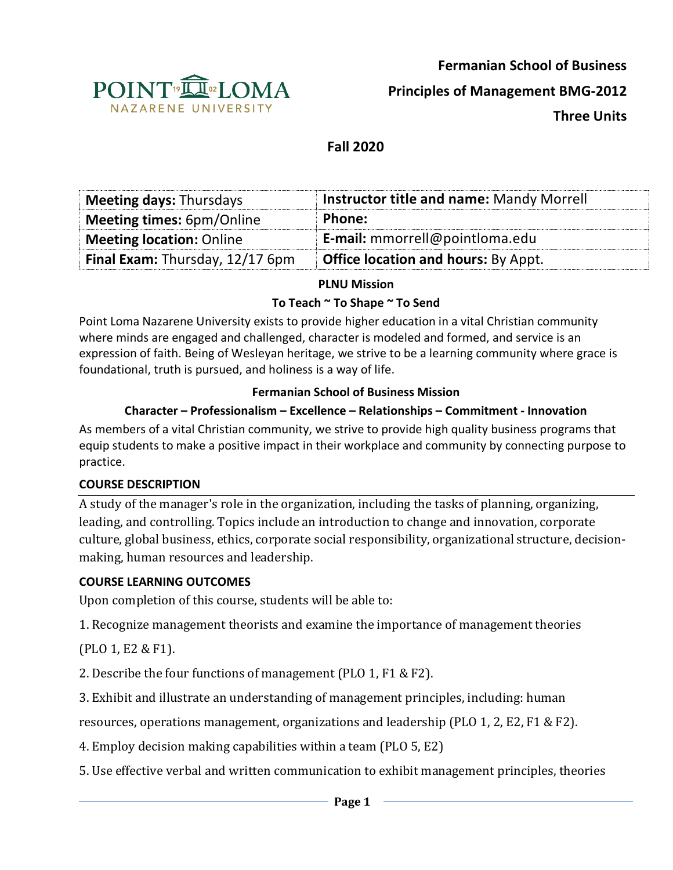

**Fermanian School of Business**

**Principles of Management BMG-2012**

**Three Units**

# **Fall 2020**

| <b>Meeting days: Thursdays</b>   | <b>Instructor title and name: Mandy Morrell</b> |
|----------------------------------|-------------------------------------------------|
| <b>Meeting times: 6pm/Online</b> | Phone:                                          |
| <b>Meeting location: Online</b>  | E-mail: mmorrell@pointloma.edu                  |
| Final Exam: Thursday, 12/17 6pm  | <b>Office location and hours: By Appt.</b>      |

### **PLNU Mission**

#### **To Teach ~ To Shape ~ To Send**

Point Loma Nazarene University exists to provide higher education in a vital Christian community where minds are engaged and challenged, character is modeled and formed, and service is an expression of faith. Being of Wesleyan heritage, we strive to be a learning community where grace is foundational, truth is pursued, and holiness is a way of life.

#### **Fermanian School of Business Mission**

### **Character – Professionalism – Excellence – Relationships – Commitment - Innovation**

As members of a vital Christian community, we strive to provide high quality business programs that equip students to make a positive impact in their workplace and community by connecting purpose to practice.

#### **COURSE DESCRIPTION**

A study of the manager's role in the organization, including the tasks of planning, organizing, leading, and controlling. Topics include an introduction to change and innovation, corporate culture, global business, ethics, corporate social responsibility, organizational structure, decisionmaking, human resources and leadership.

#### **COURSE LEARNING OUTCOMES**

Upon completion of this course, students will be able to:

1. Recognize management theorists and examine the importance of management theories

(PLO 1, E2 & F1).

2. Describe the four functions of management (PLO 1, F1 & F2).

3. Exhibit and illustrate an understanding of management principles, including: human

resources, operations management, organizations and leadership (PLO 1, 2, E2, F1 & F2).

4. Employ decision making capabilities within a team (PLO 5, E2)

5. Use effective verbal and written communication to exhibit management principles, theories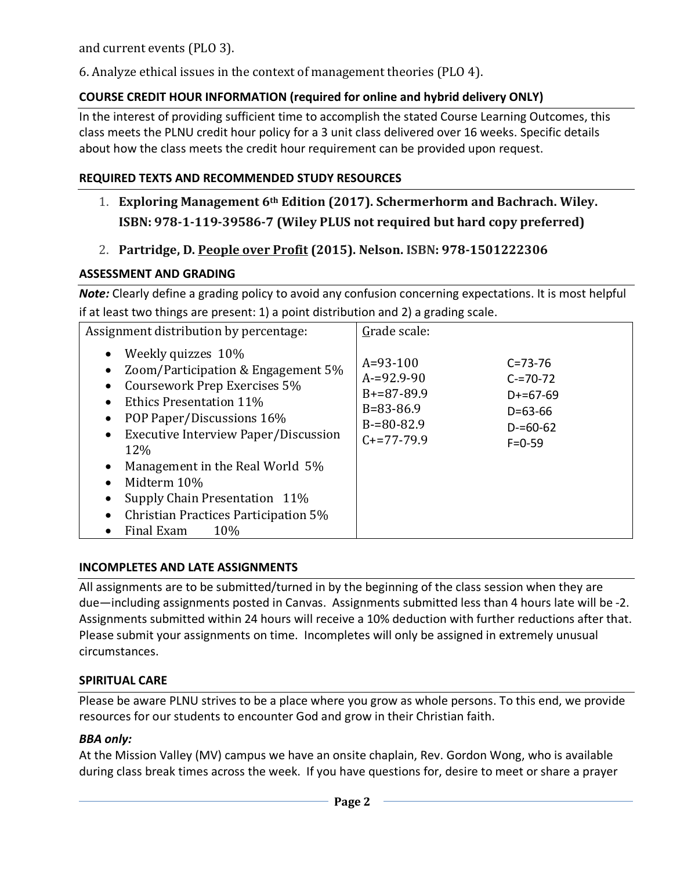and current events (PLO 3).

6. Analyze ethical issues in the context of management theories (PLO 4).

## **COURSE CREDIT HOUR INFORMATION (required for online and hybrid delivery ONLY)**

In the interest of providing sufficient time to accomplish the stated Course Learning Outcomes, this class meets the PLNU credit hour policy for a 3 unit class delivered over 16 weeks. Specific details about how the class meets the credit hour requirement can be provided upon request.

### **REQUIRED TEXTS AND RECOMMENDED STUDY RESOURCES**

- 1. **Exploring Management 6<sup>th</sup> Edition (2017). Schermerhorm and Bachrach. Wiley. ISBN: 978-1-119-39586-7 (Wiley PLUS not required but hard copy preferred)**
- 2. **Partridge, D. People over Profit (2015). Nelson. ISBN: 978-1501222306**

### **ASSESSMENT AND GRADING**

*Note:* Clearly define a grading policy to avoid any confusion concerning expectations. It is most helpful if at least two things are present: 1) a point distribution and 2) a grading scale.

| Assignment distribution by percentage:                                                                                                                                                                                                                                                                                                                                                                                               | Grade scale:                                                                                                                                                                                          |  |  |
|--------------------------------------------------------------------------------------------------------------------------------------------------------------------------------------------------------------------------------------------------------------------------------------------------------------------------------------------------------------------------------------------------------------------------------------|-------------------------------------------------------------------------------------------------------------------------------------------------------------------------------------------------------|--|--|
| Weekly quizzes 10%<br>$\bullet$<br>Zoom/Participation & Engagement 5%<br>Coursework Prep Exercises 5%<br><b>Ethics Presentation 11%</b><br>$\bullet$<br>POP Paper/Discussions 16%<br>$\bullet$<br>Executive Interview Paper/Discussion<br>$\bullet$<br>12%<br>Management in the Real World 5%<br>$\bullet$<br>Midterm 10%<br>$\bullet$<br>Supply Chain Presentation 11%<br>Christian Practices Participation 5%<br>Final Exam<br>10% | $A=93-100$<br>$C = 73 - 76$<br>$A = 92.9 - 90$<br>$C = 70 - 72$<br>$B+=87-89.9$<br>$D+=67-69$<br>$B = 83 - 86.9$<br>$D = 63 - 66$<br>$B = 80 - 82.9$<br>$D = 60 - 62$<br>$C+=77-79.9$<br>$F = 0 - 59$ |  |  |

### **INCOMPLETES AND LATE ASSIGNMENTS**

All assignments are to be submitted/turned in by the beginning of the class session when they are due—including assignments posted in Canvas. Assignments submitted less than 4 hours late will be -2. Assignments submitted within 24 hours will receive a 10% deduction with further reductions after that. Please submit your assignments on time. Incompletes will only be assigned in extremely unusual circumstances.

### **SPIRITUAL CARE**

Please be aware PLNU strives to be a place where you grow as whole persons. To this end, we provide resources for our students to encounter God and grow in their Christian faith.

#### *BBA only:*

At the Mission Valley (MV) campus we have an onsite chaplain, Rev. Gordon Wong, who is available during class break times across the week. If you have questions for, desire to meet or share a prayer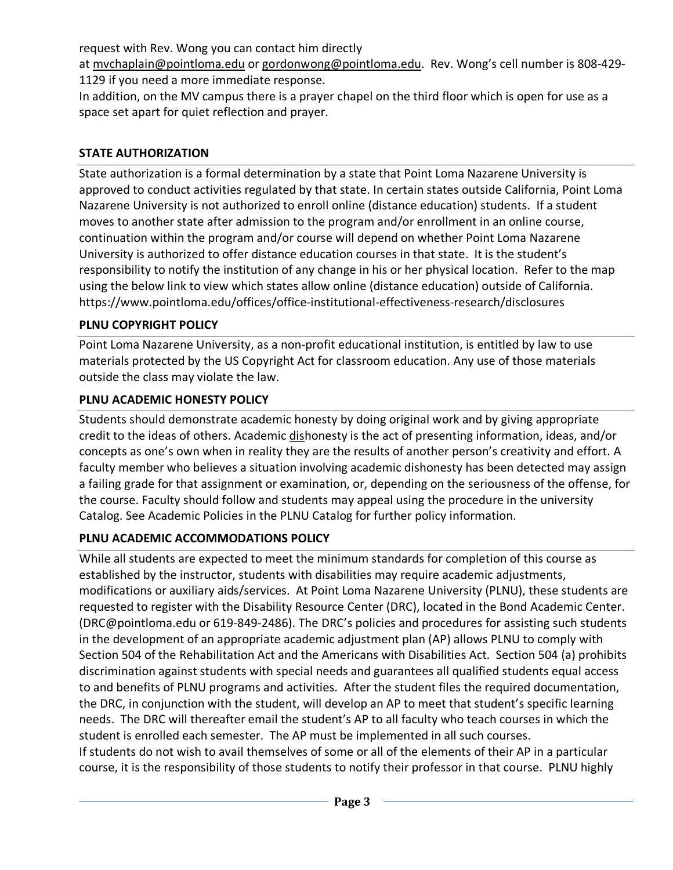request with Rev. Wong you can contact him directly

at mvchaplain@pointloma.edu or gordonwong@pointloma.edu. Rev. Wong's cell number is 808-429- 1129 if you need a more immediate response.

In addition, on the MV campus there is a prayer chapel on the third floor which is open for use as a space set apart for quiet reflection and prayer.

### **STATE AUTHORIZATION**

State authorization is a formal determination by a state that Point Loma Nazarene University is approved to conduct activities regulated by that state. In certain states outside California, Point Loma Nazarene University is not authorized to enroll online (distance education) students. If a student moves to another state after admission to the program and/or enrollment in an online course, continuation within the program and/or course will depend on whether Point Loma Nazarene University is authorized to offer distance education courses in that state. It is the student's responsibility to notify the institution of any change in his or her physical location. Refer to the map using the below link to view which states allow online (distance education) outside of California. https://www.pointloma.edu/offices/office-institutional-effectiveness-research/disclosures

### **PLNU COPYRIGHT POLICY**

Point Loma Nazarene University, as a non-profit educational institution, is entitled by law to use materials protected by the US Copyright Act for classroom education. Any use of those materials outside the class may violate the law.

## **PLNU ACADEMIC HONESTY POLICY**

Students should demonstrate academic honesty by doing original work and by giving appropriate credit to the ideas of others. Academic dishonesty is the act of presenting information, ideas, and/or concepts as one's own when in reality they are the results of another person's creativity and effort. A faculty member who believes a situation involving academic dishonesty has been detected may assign a failing grade for that assignment or examination, or, depending on the seriousness of the offense, for the course. Faculty should follow and students may appeal using the procedure in the university Catalog. See Academic Policies in the PLNU Catalog for further policy information.

### **PLNU ACADEMIC ACCOMMODATIONS POLICY**

While all students are expected to meet the minimum standards for completion of this course as established by the instructor, students with disabilities may require academic adjustments, modifications or auxiliary aids/services. At Point Loma Nazarene University (PLNU), these students are requested to register with the Disability Resource Center (DRC), located in the Bond Academic Center. (DRC@pointloma.edu or 619-849-2486). The DRC's policies and procedures for assisting such students in the development of an appropriate academic adjustment plan (AP) allows PLNU to comply with Section 504 of the Rehabilitation Act and the Americans with Disabilities Act. Section 504 (a) prohibits discrimination against students with special needs and guarantees all qualified students equal access to and benefits of PLNU programs and activities. After the student files the required documentation, the DRC, in conjunction with the student, will develop an AP to meet that student's specific learning needs. The DRC will thereafter email the student's AP to all faculty who teach courses in which the student is enrolled each semester. The AP must be implemented in all such courses. If students do not wish to avail themselves of some or all of the elements of their AP in a particular course, it is the responsibility of those students to notify their professor in that course. PLNU highly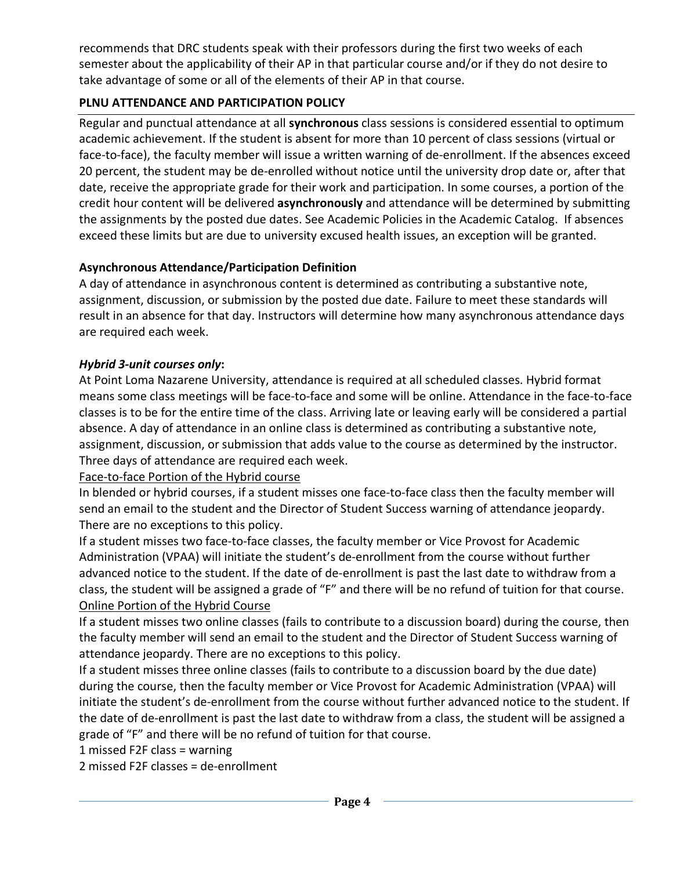recommends that DRC students speak with their professors during the first two weeks of each semester about the applicability of their AP in that particular course and/or if they do not desire to take advantage of some or all of the elements of their AP in that course.

# **PLNU ATTENDANCE AND PARTICIPATION POLICY**

Regular and punctual attendance at all **synchronous** class sessions is considered essential to optimum academic achievement. If the student is absent for more than 10 percent of class sessions (virtual or face-to-face), the faculty member will issue a written warning of de-enrollment. If the absences exceed 20 percent, the student may be de-enrolled without notice until the university drop date or, after that date, receive the appropriate grade for their work and participation. In some courses, a portion of the credit hour content will be delivered **asynchronously** and attendance will be determined by submitting the assignments by the posted due dates. See Academic Policies in the Academic Catalog. If absences exceed these limits but are due to university excused health issues, an exception will be granted.

# **Asynchronous Attendance/Participation Definition**

A day of attendance in asynchronous content is determined as contributing a substantive note, assignment, discussion, or submission by the posted due date. Failure to meet these standards will result in an absence for that day. Instructors will determine how many asynchronous attendance days are required each week.

## *Hybrid 3-unit courses only***:**

At Point Loma Nazarene University, attendance is required at all scheduled classes. Hybrid format means some class meetings will be face-to-face and some will be online. Attendance in the face-to-face classes is to be for the entire time of the class. Arriving late or leaving early will be considered a partial absence. A day of attendance in an online class is determined as contributing a substantive note, assignment, discussion, or submission that adds value to the course as determined by the instructor. Three days of attendance are required each week.

### Face-to-face Portion of the Hybrid course

In blended or hybrid courses, if a student misses one face-to-face class then the faculty member will send an email to the student and the Director of Student Success warning of attendance jeopardy. There are no exceptions to this policy.

If a student misses two face-to-face classes, the faculty member or Vice Provost for Academic Administration (VPAA) will initiate the student's de-enrollment from the course without further advanced notice to the student. If the date of de-enrollment is past the last date to withdraw from a class, the student will be assigned a grade of "F" and there will be no refund of tuition for that course. Online Portion of the Hybrid Course

If a student misses two online classes (fails to contribute to a discussion board) during the course, then the faculty member will send an email to the student and the Director of Student Success warning of attendance jeopardy. There are no exceptions to this policy.

If a student misses three online classes (fails to contribute to a discussion board by the due date) during the course, then the faculty member or Vice Provost for Academic Administration (VPAA) will initiate the student's de-enrollment from the course without further advanced notice to the student. If the date of de-enrollment is past the last date to withdraw from a class, the student will be assigned a grade of "F" and there will be no refund of tuition for that course.

1 missed F2F class = warning

2 missed F2F classes = de-enrollment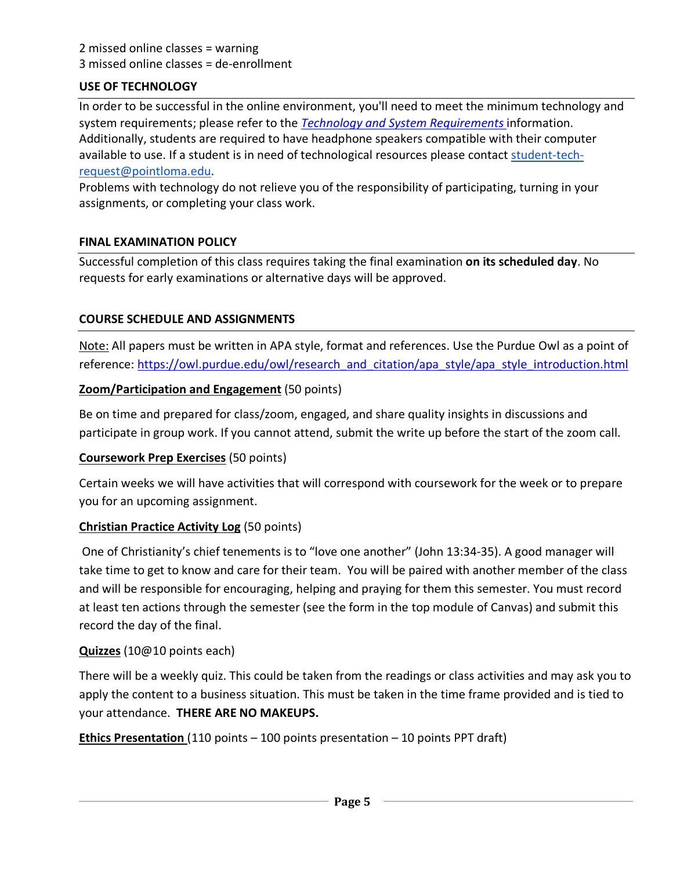### 2 missed online classes = warning 3 missed online classes = de-enrollment

### **USE OF TECHNOLOGY**

In order to be successful in the online environment, you'll need to meet the minimum technology and system requirements; please refer to the *Technology and System Requirements* information. Additionally, students are required to have headphone speakers compatible with their computer available to use. If a student is in need of technological resources please contact student-techrequest@pointloma.edu.

Problems with technology do not relieve you of the responsibility of participating, turning in your assignments, or completing your class work.

#### **FINAL EXAMINATION POLICY**

Successful completion of this class requires taking the final examination **on its scheduled day**. No requests for early examinations or alternative days will be approved.

### **COURSE SCHEDULE AND ASSIGNMENTS**

Note: All papers must be written in APA style, format and references. Use the Purdue Owl as a point of reference: https://owl.purdue.edu/owl/research\_and\_citation/apa\_style/apa\_style\_introduction.html

### **Zoom/Participation and Engagement** (50 points)

Be on time and prepared for class/zoom, engaged, and share quality insights in discussions and participate in group work. If you cannot attend, submit the write up before the start of the zoom call.

#### **Coursework Prep Exercises** (50 points)

Certain weeks we will have activities that will correspond with coursework for the week or to prepare you for an upcoming assignment.

#### **Christian Practice Activity Log** (50 points)

One of Christianity's chief tenements is to "love one another" (John 13:34-35). A good manager will take time to get to know and care for their team. You will be paired with another member of the class and will be responsible for encouraging, helping and praying for them this semester. You must record at least ten actions through the semester (see the form in the top module of Canvas) and submit this record the day of the final.

#### **Quizzes** (10@10 points each)

There will be a weekly quiz. This could be taken from the readings or class activities and may ask you to apply the content to a business situation. This must be taken in the time frame provided and is tied to your attendance. **THERE ARE NO MAKEUPS.**

**Ethics Presentation** (110 points – 100 points presentation – 10 points PPT draft)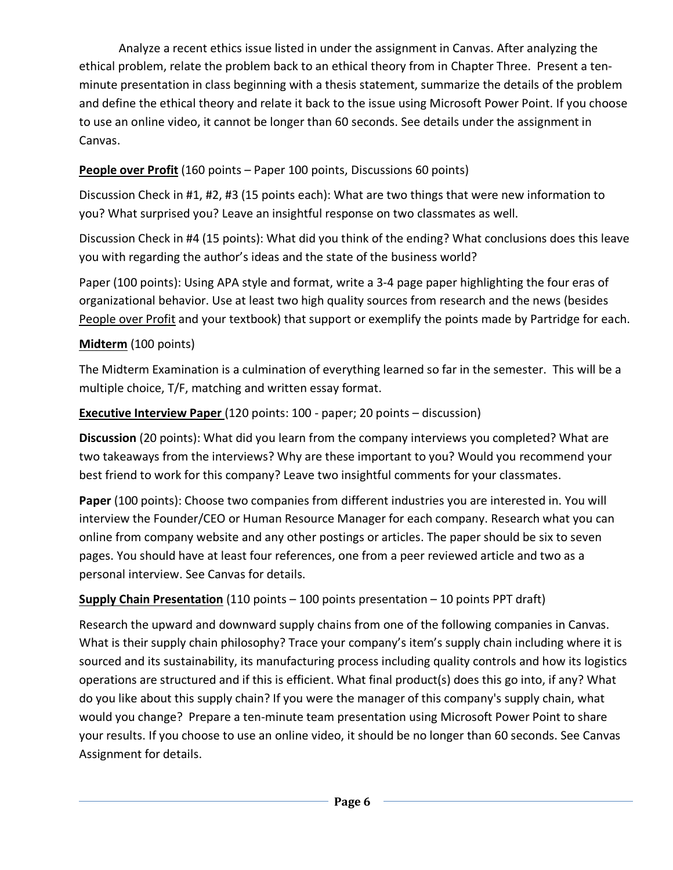Analyze a recent ethics issue listed in under the assignment in Canvas. After analyzing the ethical problem, relate the problem back to an ethical theory from in Chapter Three. Present a tenminute presentation in class beginning with a thesis statement, summarize the details of the problem and define the ethical theory and relate it back to the issue using Microsoft Power Point. If you choose to use an online video, it cannot be longer than 60 seconds. See details under the assignment in Canvas.

# **People over Profit** (160 points – Paper 100 points, Discussions 60 points)

Discussion Check in #1, #2, #3 (15 points each): What are two things that were new information to you? What surprised you? Leave an insightful response on two classmates as well.

Discussion Check in #4 (15 points): What did you think of the ending? What conclusions does this leave you with regarding the author's ideas and the state of the business world?

Paper (100 points): Using APA style and format, write a 3-4 page paper highlighting the four eras of organizational behavior. Use at least two high quality sources from research and the news (besides People over Profit and your textbook) that support or exemplify the points made by Partridge for each.

## **Midterm** (100 points)

The Midterm Examination is a culmination of everything learned so far in the semester. This will be a multiple choice, T/F, matching and written essay format.

## **Executive Interview Paper** (120 points: 100 - paper; 20 points – discussion)

**Discussion** (20 points): What did you learn from the company interviews you completed? What are two takeaways from the interviews? Why are these important to you? Would you recommend your best friend to work for this company? Leave two insightful comments for your classmates.

**Paper** (100 points): Choose two companies from different industries you are interested in. You will interview the Founder/CEO or Human Resource Manager for each company. Research what you can online from company website and any other postings or articles. The paper should be six to seven pages. You should have at least four references, one from a peer reviewed article and two as a personal interview. See Canvas for details.

# **Supply Chain Presentation** (110 points – 100 points presentation – 10 points PPT draft)

Research the upward and downward supply chains from one of the following companies in Canvas. What is their supply chain philosophy? Trace your company's item's supply chain including where it is sourced and its sustainability, its manufacturing process including quality controls and how its logistics operations are structured and if this is efficient. What final product(s) does this go into, if any? What do you like about this supply chain? If you were the manager of this company's supply chain, what would you change? Prepare a ten-minute team presentation using Microsoft Power Point to share your results. If you choose to use an online video, it should be no longer than 60 seconds. See Canvas Assignment for details.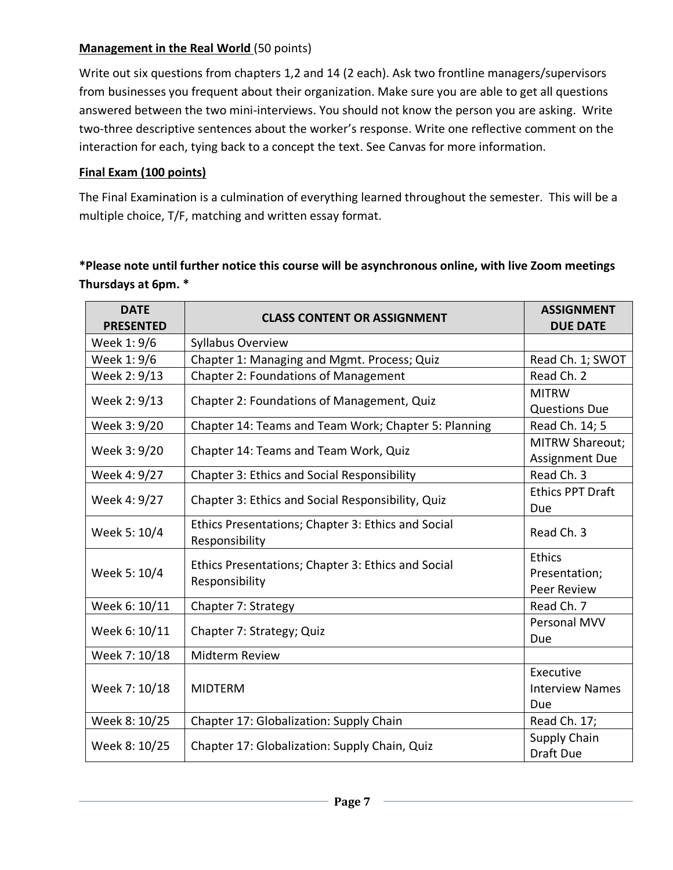### **Management in the Real World** (50 points)

Write out six questions from chapters 1,2 and 14 (2 each). Ask two frontline managers/supervisors from businesses you frequent about their organization. Make sure you are able to get all questions answered between the two mini-interviews. You should not know the person you are asking. Write two-three descriptive sentences about the worker's response. Write one reflective comment on the interaction for each, tying back to a concept the text. See Canvas for more information.

## **Final Exam (100 points)**

The Final Examination is a culmination of everything learned throughout the semester. This will be a multiple choice, T/F, matching and written essay format.

# **\*Please note until further notice this course will be asynchronous online, with live Zoom meetings Thursdays at 6pm. \***

| <b>DATE</b><br><b>PRESENTED</b> | <b>CLASS CONTENT OR ASSIGNMENT</b>                                   | <b>ASSIGNMENT</b><br><b>DUE DATE</b> |
|---------------------------------|----------------------------------------------------------------------|--------------------------------------|
| Week 1: 9/6                     | Syllabus Overview                                                    |                                      |
| Week 1: 9/6                     | Chapter 1: Managing and Mgmt. Process; Quiz                          | Read Ch. 1; SWOT                     |
| Week 2: 9/13                    | <b>Chapter 2: Foundations of Management</b>                          | Read Ch. 2                           |
| Week 2: 9/13                    | Chapter 2: Foundations of Management, Quiz                           | <b>MITRW</b>                         |
|                                 |                                                                      | <b>Questions Due</b>                 |
| Week 3: 9/20                    | Chapter 14: Teams and Team Work; Chapter 5: Planning                 | Read Ch. 14; 5                       |
| Week 3: 9/20                    | Chapter 14: Teams and Team Work, Quiz                                | <b>MITRW Shareout;</b>               |
|                                 |                                                                      | <b>Assignment Due</b>                |
| Week 4: 9/27                    | <b>Chapter 3: Ethics and Social Responsibility</b>                   | Read Ch. 3                           |
| Week 4: 9/27                    | Chapter 3: Ethics and Social Responsibility, Quiz                    | <b>Ethics PPT Draft</b>              |
|                                 |                                                                      | Due                                  |
| Week 5: 10/4                    | Ethics Presentations; Chapter 3: Ethics and Social<br>Responsibility | Read Ch. 3                           |
| Week 5: 10/4                    | Ethics Presentations; Chapter 3: Ethics and Social<br>Responsibility | <b>Ethics</b>                        |
|                                 |                                                                      | Presentation;                        |
|                                 |                                                                      | Peer Review                          |
| Week 6: 10/11                   | Chapter 7: Strategy                                                  | Read Ch. 7                           |
| Week 6: 10/11                   | Chapter 7: Strategy; Quiz                                            | Personal MVV                         |
|                                 |                                                                      | Due                                  |
| Week 7: 10/18                   | Midterm Review                                                       |                                      |
| Week 7: 10/18                   | <b>MIDTERM</b>                                                       | Executive                            |
|                                 |                                                                      | <b>Interview Names</b>               |
|                                 |                                                                      | Due                                  |
| Week 8: 10/25                   | Chapter 17: Globalization: Supply Chain                              | Read Ch. 17;                         |
| Week 8: 10/25                   | Chapter 17: Globalization: Supply Chain, Quiz                        | <b>Supply Chain</b>                  |
|                                 |                                                                      | Draft Due                            |